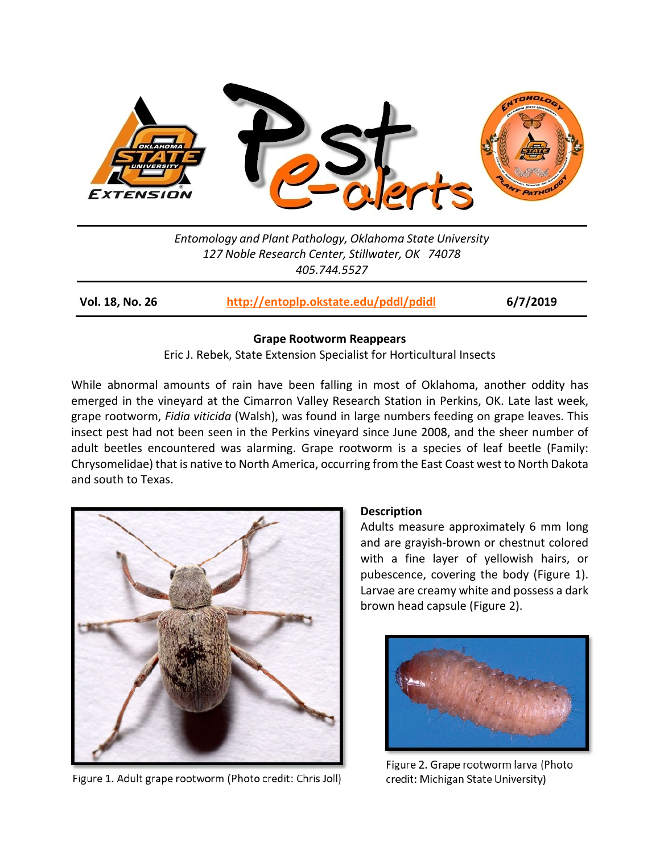

*Entomology and Plant Pathology, Oklahoma State University 127 Noble Research Center, Stillwater, OK 74078 405.744.5527*

**Vol. 18, No. 26 <http://entoplp.okstate.edu/pddl/pdidl> 6/7/2019**

### **Grape Rootworm Reappears**

Eric J. Rebek, State Extension Specialist for Horticultural Insects

While abnormal amounts of rain have been falling in most of Oklahoma, another oddity has emerged in the vineyard at the Cimarron Valley Research Station in Perkins, OK. Late last week, grape rootworm, *Fidia viticida* (Walsh), was found in large numbers feeding on grape leaves. This insect pest had not been seen in the Perkins vineyard since June 2008, and the sheer number of adult beetles encountered was alarming. Grape rootworm is a species of leaf beetle (Family: Chrysomelidae) that is native to North America, occurring from the East Coast west to North Dakota and south to Texas.



Figure 1. Adult grape rootworm (Photo credit: Chris Joll)

## **Description**

Adults measure approximately 6 mm long and are grayish-brown or chestnut colored with a fine layer of yellowish hairs, or pubescence, covering the body (Figure 1). Larvae are creamy white and possess a dark brown head capsule (Figure 2).



Figure 2. Grape rootworm larva (Photo credit: Michigan State University)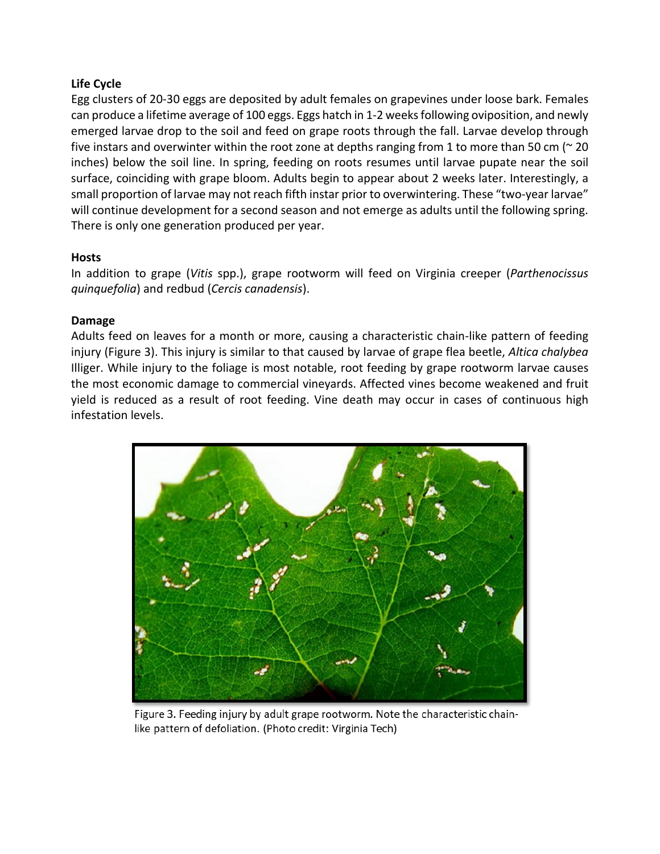# **Life Cycle**

Egg clusters of 20-30 eggs are deposited by adult females on grapevines under loose bark. Females can produce a lifetime average of 100 eggs. Eggs hatch in 1-2 weeks following oviposition, and newly emerged larvae drop to the soil and feed on grape roots through the fall. Larvae develop through five instars and overwinter within the root zone at depths ranging from 1 to more than 50 cm ( $\approx$  20 inches) below the soil line. In spring, feeding on roots resumes until larvae pupate near the soil surface, coinciding with grape bloom. Adults begin to appear about 2 weeks later. Interestingly, a small proportion of larvae may not reach fifth instar prior to overwintering. These "two-year larvae" will continue development for a second season and not emerge as adults until the following spring. There is only one generation produced per year.

# **Hosts**

In addition to grape (*Vitis* spp.), grape rootworm will feed on Virginia creeper (*Parthenocissus quinquefolia*) and redbud (*Cercis canadensis*).

# **Damage**

Adults feed on leaves for a month or more, causing a characteristic chain-like pattern of feeding injury (Figure 3). This injury is similar to that caused by larvae of grape flea beetle, *Altica chalybea*  Illiger. While injury to the foliage is most notable, root feeding by grape rootworm larvae causes the most economic damage to commercial vineyards. Affected vines become weakened and fruit yield is reduced as a result of root feeding. Vine death may occur in cases of continuous high infestation levels.



Figure 3. Feeding injury by adult grape rootworm. Note the characteristic chainlike pattern of defoliation. (Photo credit: Virginia Tech)